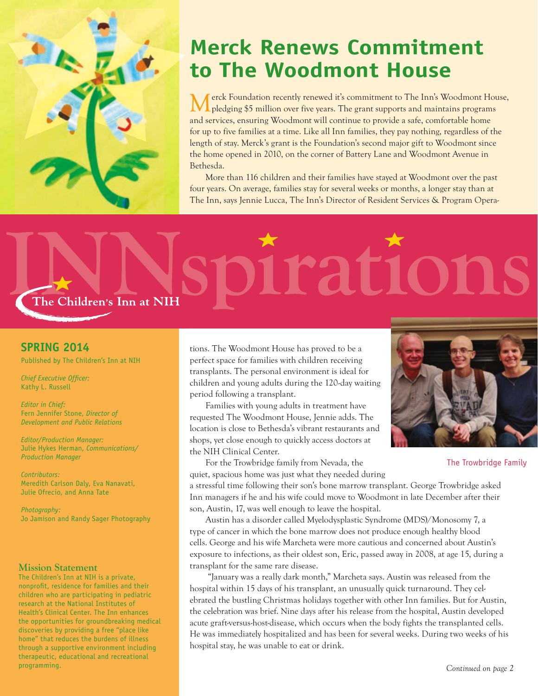

## **Merck Renews Commitment to The Woodmont House**

erck Foundation recently renewed it's commitment to The Inn's Woodmont House, pledging \$5 million over five years. The grant supports and maintains programs and services, ensuring Woodmont will continue to provide a safe, comfortable home for up to five families at a time. Like all Inn families, they pay nothing, regardless of the length of stay. Merck's grant is the Foundation's second major gift to Woodmont since the home opened in 2010, on the corner of Battery Lane and Woodmont Avenue in Bethesda.

More than 116 children and their families have stayed at Woodmont over the past four years. On average, families stay for several weeks or months, a longer stay than at The Inn, says Jennie Lucca, The Inn's Director of Resident Services & Program Opera-

# trations The Children's Inn at NIH

#### **SPRING 2014**

Published by The Children's Inn at NIH

*Chief Executive Officer:* Kathy L. Russell

*Editor in Chief:* Fern Jennifer Stone, *Director of Development and Public Relations*

*Editor/Production Manager:* Julie Hykes Herman, *Communications/ Production Manager*

*Contributors:* Meredith Carlson Daly, Eva Nanavati, Julie Ofrecio, and Anna Tate

*Photography:* Jo Jamison and Randy Sager Photography

#### **Mission Statement**

The Children's Inn at NIH is a private, nonprofit, residence for families and their children who are participating in pediatric research at the National Institutes of Health's Clinical Center. The Inn enhances the opportunities for groundbreaking medical discoveries by providing a free "place like home" that reduces the burdens of illness through a supportive environment including therapeutic, educational and recreational programming.

tions. The Woodmont House has proved to be a perfect space for families with children receiving transplants. The personal environment is ideal for children and young adults during the 120-day waiting period following a transplant.

Families with young adults in treatment have requested The Woodmont House, Jennie adds. The location is close to Bethesda's vibrant restaurants and shops, yet close enough to quickly access doctors at the NIH Clinical Center.

For the Trowbridge family from Nevada, the quiet, spacious home was just what they needed during



The Trowbridge Family

a stressful time following their son's bone marrow transplant. George Trowbridge asked Inn managers if he and his wife could move to Woodmont in late December after their son, Austin, 17, was well enough to leave the hospital.

Austin has a disorder called Myelodysplastic Syndrome (MDS)/Monosomy 7, a type of cancer in which the bone marrow does not produce enough healthy blood cells. George and his wife Marcheta were more cautious and concerned about Austin's exposure to infections, as their oldest son, Eric, passed away in 2008, at age 15, during a transplant for the same rare disease.

 "January was a really dark month," Marcheta says. Austin was released from the hospital within 15 days of his transplant, an unusually quick turnaround. They celebrated the bustling Christmas holidays together with other Inn families. But for Austin, the celebration was brief. Nine days after his release from the hospital, Austin developed acute graft-versus-host-disease, which occurs when the body fights the transplanted cells. He was immediately hospitalized and has been for several weeks. During two weeks of his hospital stay, he was unable to eat or drink.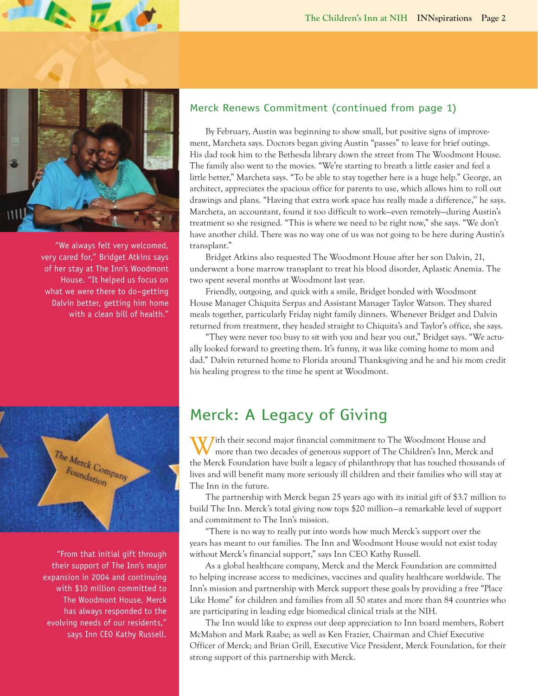

 $\n *L*$ 

"We always felt very welcomed, very cared for," Bridget Atkins says of her stay at The Inn's Woodmont House. "It helped us focus on what we were there to do–getting Dalvin better, getting him home with a clean bill of health."



 "From that initial gift through their support of The Inn's major expansion in 2004 and continuing with \$10 million committed to The Woodmont House, Merck has always responded to the evolving needs of our residents," says Inn CEO Kathy Russell.

### Merck Renews Commitment (continued from page 1)

By February, Austin was beginning to show small, but positive signs of improvement, Marcheta says. Doctors began giving Austin "passes" to leave for brief outings. His dad took him to the Bethesda library down the street from The Woodmont House. The family also went to the movies. "We're starting to breath a little easier and feel a little better," Marcheta says. "To be able to stay together here is a huge help." George, an architect, appreciates the spacious office for parents to use, which allows him to roll out drawings and plans. "Having that extra work space has really made a difference,'' he says. Marcheta, an accountant, found it too difficult to work—even remotely—during Austin's treatment so she resigned. "This is where we need to be right now," she says. "We don't have another child. There was no way one of us was not going to be here during Austin's transplant."

Bridget Atkins also requested The Woodmont House after her son Dalvin, 21, underwent a bone marrow transplant to treat his blood disorder, Aplastic Anemia. The two spent several months at Woodmont last year.

Friendly, outgoing, and quick with a smile, Bridget bonded with Woodmont House Manager Chiquita Serpas and Assistant Manager Taylor Watson. They shared meals together, particularly Friday night family dinners. Whenever Bridget and Dalvin returned from treatment, they headed straight to Chiquita's and Taylor's office, she says.

"They were never too busy to sit with you and hear you out," Bridget says. "We actually looked forward to greeting them. It's funny, it was like coming home to mom and dad." Dalvin returned home to Florida around Thanksgiving and he and his mom credit his healing progress to the time he spent at Woodmont.

## Merck: A Legacy of Giving

**J**ith their second major financial commitment to The Woodmont House and more than two decades of generous support of The Children's Inn, Merck and the Merck Foundation have built a legacy of philanthropy that has touched thousands of lives and will benefit many more seriously ill children and their families who will stay at The Inn in the future.

The partnership with Merck began 25 years ago with its initial gift of \$3.7 million to build The Inn. Merck's total giving now tops \$20 million—a remarkable level of support and commitment to The Inn's mission.

"There is no way to really put into words how much Merck's support over the years has meant to our families. The Inn and Woodmont House would not exist today without Merck's financial support," says Inn CEO Kathy Russell.

As a global healthcare company, Merck and the Merck Foundation are committed to helping increase access to medicines, vaccines and quality healthcare worldwide. The Inn's mission and partnership with Merck support these goals by providing a free "Place Like Home" for children and families from all 50 states and more than 84 countries who are participating in leading edge biomedical clinical trials at the NIH.

The Inn would like to express our deep appreciation to Inn board members, Robert McMahon and Mark Raabe; as well as Ken Frazier, Chairman and Chief Executive Officer of Merck; and Brian Grill, Executive Vice President, Merck Foundation, for their strong support of this partnership with Merck.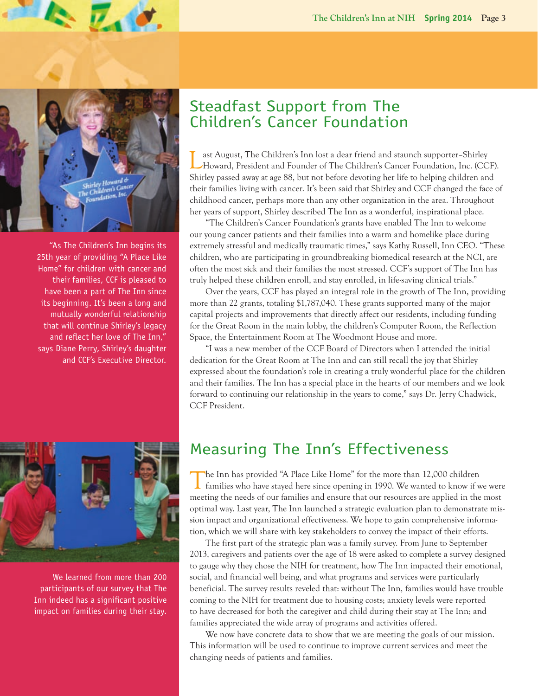

 $\mathbb{Z}$  o.

 "As The Children's Inn begins its 25th year of providing "A Place Like Home" for children with cancer and their families, CCF is pleased to have been a part of The Inn since its beginning. It's been a long and mutually wonderful relationship that will continue Shirley's legacy and reflect her love of The Inn," says Diane Perry, Shirley's daughter and CCF's Executive Director.

## Steadfast Support from The Children's Cancer Foundation

ast August, The Children's Inn lost a dear friend and staunch supporter-Shirley Howard, President and Founder of The Children's Cancer Foundation, Inc. (CCF). Shirley passed away at age 88, but not before devoting her life to helping children and their families living with cancer. It's been said that Shirley and CCF changed the face of childhood cancer, perhaps more than any other organization in the area. Throughout her years of support, Shirley described The Inn as a wonderful, inspirational place.

"The Children's Cancer Foundation's grants have enabled The Inn to welcome our young cancer patients and their families into a warm and homelike place during extremely stressful and medically traumatic times," says Kathy Russell, Inn CEO. "These children, who are participating in groundbreaking biomedical research at the NCI, are often the most sick and their families the most stressed. CCF's support of The Inn has truly helped these children enroll, and stay enrolled, in life-saving clinical trials."

Over the years, CCF has played an integral role in the growth of The Inn, providing more than 22 grants, totaling \$1,787,040. These grants supported many of the major capital projects and improvements that directly affect our residents, including funding for the Great Room in the main lobby, the children's Computer Room, the Reflection Space, the Entertainment Room at The Woodmont House and more.

"I was a new member of the CCF Board of Directors when I attended the initial dedication for the Great Room at The Inn and can still recall the joy that Shirley expressed about the foundation's role in creating a truly wonderful place for the children and their families. The Inn has a special place in the hearts of our members and we look forward to continuing our relationship in the years to come," says Dr. Jerry Chadwick, CCF President.



We learned from more than 200 participants of our survey that The Inn indeed has a significant positive impact on families during their stay.

## Measuring The Inn's Effectiveness

The Inn has provided "A Place Like Home" for the more than 12,000 children **I** families who have stayed here since opening in 1990. We wanted to know if we were meeting the needs of our families and ensure that our resources are applied in the most optimal way. Last year, The Inn launched a strategic evaluation plan to demonstrate mission impact and organizational effectiveness. We hope to gain comprehensive information, which we will share with key stakeholders to convey the impact of their efforts.

The first part of the strategic plan was a family survey. From June to September 2013, caregivers and patients over the age of 18 were asked to complete a survey designed to gauge why they chose the NIH for treatment, how The Inn impacted their emotional, social, and financial well being, and what programs and services were particularly beneficial. The survey results reveled that: without The Inn, families would have trouble coming to the NIH for treatment due to housing costs; anxiety levels were reported to have decreased for both the caregiver and child during their stay at The Inn; and families appreciated the wide array of programs and activities offered.

We now have concrete data to show that we are meeting the goals of our mission. This information will be used to continue to improve current services and meet the changing needs of patients and families.